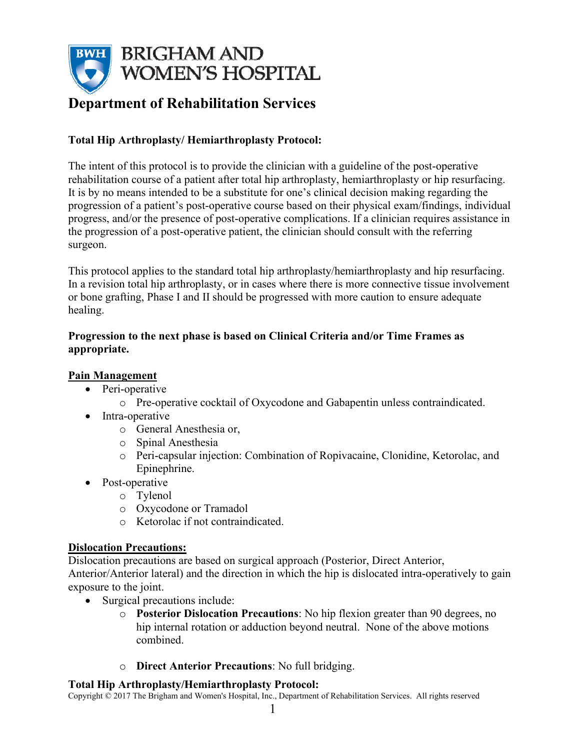

# **Department of Rehabilitation Services**

# **Total Hip Arthroplasty/ Hemiarthroplasty Protocol:**

The intent of this protocol is to provide the clinician with a guideline of the post-operative rehabilitation course of a patient after total hip arthroplasty, hemiarthroplasty or hip resurfacing. It is by no means intended to be a substitute for one's clinical decision making regarding the progression of a patient's post-operative course based on their physical exam/findings, individual progress, and/or the presence of post-operative complications. If a clinician requires assistance in the progression of a post-operative patient, the clinician should consult with the referring surgeon.

This protocol applies to the standard total hip arthroplasty/hemiarthroplasty and hip resurfacing. In a revision total hip arthroplasty, or in cases where there is more connective tissue involvement or bone grafting, Phase I and II should be progressed with more caution to ensure adequate healing.

# **Progression to the next phase is based on Clinical Criteria and/or Time Frames as appropriate.**

# **Pain Management**

- Peri-operative
	- o Pre-operative cocktail of Oxycodone and Gabapentin unless contraindicated.
- Intra-operative
	- o General Anesthesia or,
	- o Spinal Anesthesia
	- o Peri-capsular injection: Combination of Ropivacaine, Clonidine, Ketorolac, and Epinephrine.
- Post-operative
	- o Tylenol
	- o Oxycodone or Tramadol
	- o Ketorolac if not contraindicated.

# **Dislocation Precautions:**

Dislocation precautions are based on surgical approach (Posterior, Direct Anterior, Anterior/Anterior lateral) and the direction in which the hip is dislocated intra-operatively to gain exposure to the joint.

- Surgical precautions include:
	- o **Posterior Dislocation Precautions**: No hip flexion greater than 90 degrees, no hip internal rotation or adduction beyond neutral. None of the above motions combined.
	- o **Direct Anterior Precautions**: No full bridging.

# **Total Hip Arthroplasty/Hemiarthroplasty Protocol:**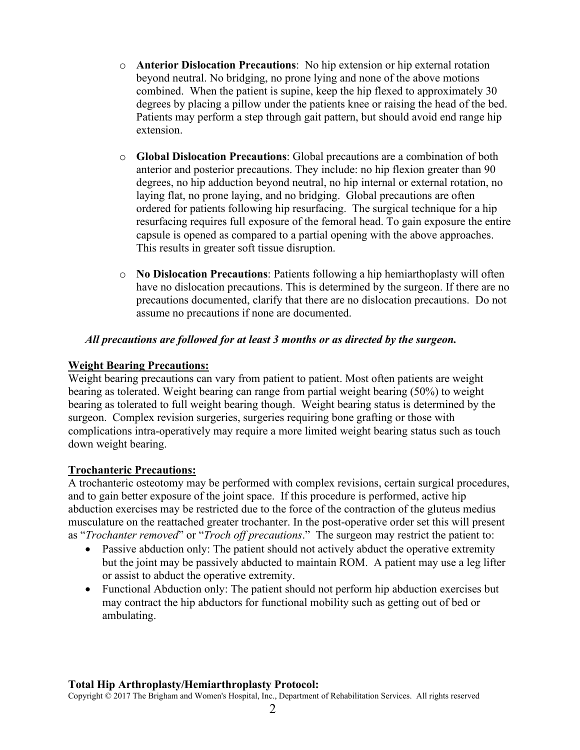- o **Anterior Dislocation Precautions**: No hip extension or hip external rotation beyond neutral. No bridging, no prone lying and none of the above motions combined. When the patient is supine, keep the hip flexed to approximately 30 degrees by placing a pillow under the patients knee or raising the head of the bed. Patients may perform a step through gait pattern, but should avoid end range hip extension.
- o **Global Dislocation Precautions**: Global precautions are a combination of both anterior and posterior precautions. They include: no hip flexion greater than 90 degrees, no hip adduction beyond neutral, no hip internal or external rotation, no laying flat, no prone laying, and no bridging. Global precautions are often ordered for patients following hip resurfacing. The surgical technique for a hip resurfacing requires full exposure of the femoral head. To gain exposure the entire capsule is opened as compared to a partial opening with the above approaches. This results in greater soft tissue disruption.
- o **No Dislocation Precautions**: Patients following a hip hemiarthoplasty will often have no dislocation precautions. This is determined by the surgeon. If there are no precautions documented, clarify that there are no dislocation precautions. Do not assume no precautions if none are documented.

# *All precautions are followed for at least 3 months or as directed by the surgeon.*

# **Weight Bearing Precautions:**

Weight bearing precautions can vary from patient to patient. Most often patients are weight bearing as tolerated. Weight bearing can range from partial weight bearing (50%) to weight bearing as tolerated to full weight bearing though. Weight bearing status is determined by the surgeon. Complex revision surgeries, surgeries requiring bone grafting or those with complications intra-operatively may require a more limited weight bearing status such as touch down weight bearing.

# **Trochanteric Precautions:**

A trochanteric osteotomy may be performed with complex revisions, certain surgical procedures, and to gain better exposure of the joint space. If this procedure is performed, active hip abduction exercises may be restricted due to the force of the contraction of the gluteus medius musculature on the reattached greater trochanter. In the post-operative order set this will present as "*Trochanter removed*" or "*Troch off precautions*." The surgeon may restrict the patient to:

- Passive abduction only: The patient should not actively abduct the operative extremity but the joint may be passively abducted to maintain ROM. A patient may use a leg lifter or assist to abduct the operative extremity.
- Functional Abduction only: The patient should not perform hip abduction exercises but may contract the hip abductors for functional mobility such as getting out of bed or ambulating.

# **Total Hip Arthroplasty/Hemiarthroplasty Protocol:**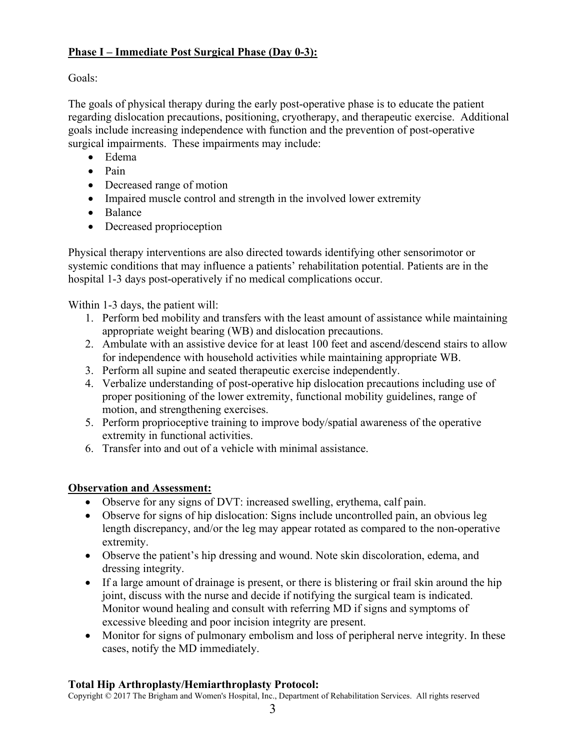# **Phase I – Immediate Post Surgical Phase (Day 0-3):**

Goals:

The goals of physical therapy during the early post-operative phase is to educate the patient regarding dislocation precautions, positioning, cryotherapy, and therapeutic exercise. Additional goals include increasing independence with function and the prevention of post-operative surgical impairments. These impairments may include:

- Edema
- Pain
- Decreased range of motion
- Impaired muscle control and strength in the involved lower extremity
- Balance
- Decreased proprioception

Physical therapy interventions are also directed towards identifying other sensorimotor or systemic conditions that may influence a patients' rehabilitation potential. Patients are in the hospital 1-3 days post-operatively if no medical complications occur.

Within 1-3 days, the patient will:

- 1. Perform bed mobility and transfers with the least amount of assistance while maintaining appropriate weight bearing (WB) and dislocation precautions.
- 2. Ambulate with an assistive device for at least 100 feet and ascend/descend stairs to allow for independence with household activities while maintaining appropriate WB.
- 3. Perform all supine and seated therapeutic exercise independently.
- 4. Verbalize understanding of post-operative hip dislocation precautions including use of proper positioning of the lower extremity, functional mobility guidelines, range of motion, and strengthening exercises.
- 5. Perform proprioceptive training to improve body/spatial awareness of the operative extremity in functional activities.
- 6. Transfer into and out of a vehicle with minimal assistance.

# **Observation and Assessment:**

- Observe for any signs of DVT: increased swelling, erythema, calf pain.
- Observe for signs of hip dislocation: Signs include uncontrolled pain, an obvious leg length discrepancy, and/or the leg may appear rotated as compared to the non-operative extremity.
- Observe the patient's hip dressing and wound. Note skin discoloration, edema, and dressing integrity.
- If a large amount of drainage is present, or there is blistering or frail skin around the hip joint, discuss with the nurse and decide if notifying the surgical team is indicated. Monitor wound healing and consult with referring MD if signs and symptoms of excessive bleeding and poor incision integrity are present.
- Monitor for signs of pulmonary embolism and loss of peripheral nerve integrity. In these cases, notify the MD immediately.

# **Total Hip Arthroplasty/Hemiarthroplasty Protocol:**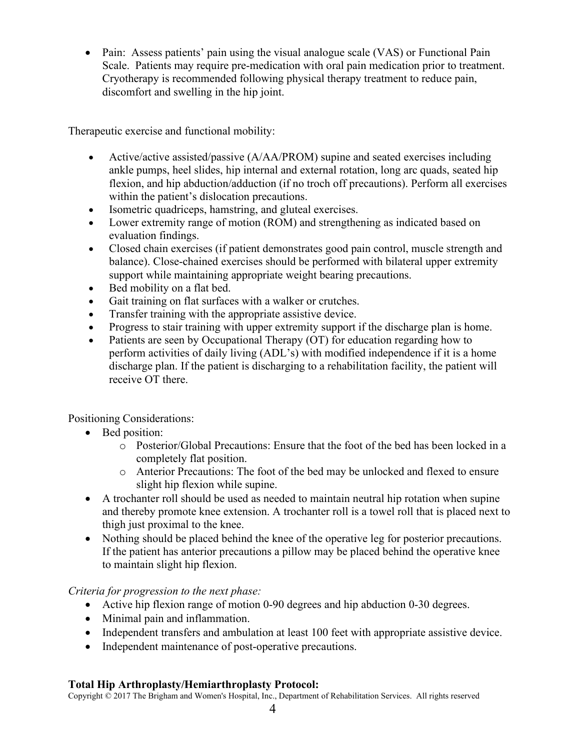• Pain: Assess patients' pain using the visual analogue scale (VAS) or Functional Pain Scale. Patients may require pre-medication with oral pain medication prior to treatment. Cryotherapy is recommended following physical therapy treatment to reduce pain, discomfort and swelling in the hip joint.

Therapeutic exercise and functional mobility:

- Active/active assisted/passive (A/AA/PROM) supine and seated exercises including ankle pumps, heel slides, hip internal and external rotation, long arc quads, seated hip flexion, and hip abduction/adduction (if no troch off precautions). Perform all exercises within the patient's dislocation precautions.
- Isometric quadriceps, hamstring, and gluteal exercises.
- Lower extremity range of motion (ROM) and strengthening as indicated based on evaluation findings.
- Closed chain exercises (if patient demonstrates good pain control, muscle strength and balance). Close-chained exercises should be performed with bilateral upper extremity support while maintaining appropriate weight bearing precautions.
- Bed mobility on a flat bed.
- Gait training on flat surfaces with a walker or crutches.
- Transfer training with the appropriate assistive device.
- Progress to stair training with upper extremity support if the discharge plan is home.
- Patients are seen by Occupational Therapy (OT) for education regarding how to perform activities of daily living (ADL's) with modified independence if it is a home discharge plan. If the patient is discharging to a rehabilitation facility, the patient will receive OT there.

Positioning Considerations:

- Bed position:
	- o Posterior/Global Precautions: Ensure that the foot of the bed has been locked in a completely flat position.
	- o Anterior Precautions: The foot of the bed may be unlocked and flexed to ensure slight hip flexion while supine.
- A trochanter roll should be used as needed to maintain neutral hip rotation when supine and thereby promote knee extension. A trochanter roll is a towel roll that is placed next to thigh just proximal to the knee.
- Nothing should be placed behind the knee of the operative leg for posterior precautions. If the patient has anterior precautions a pillow may be placed behind the operative knee to maintain slight hip flexion.

*Criteria for progression to the next phase:*

- Active hip flexion range of motion 0-90 degrees and hip abduction 0-30 degrees.
- Minimal pain and inflammation.
- Independent transfers and ambulation at least 100 feet with appropriate assistive device.
- Independent maintenance of post-operative precautions.

# **Total Hip Arthroplasty/Hemiarthroplasty Protocol:**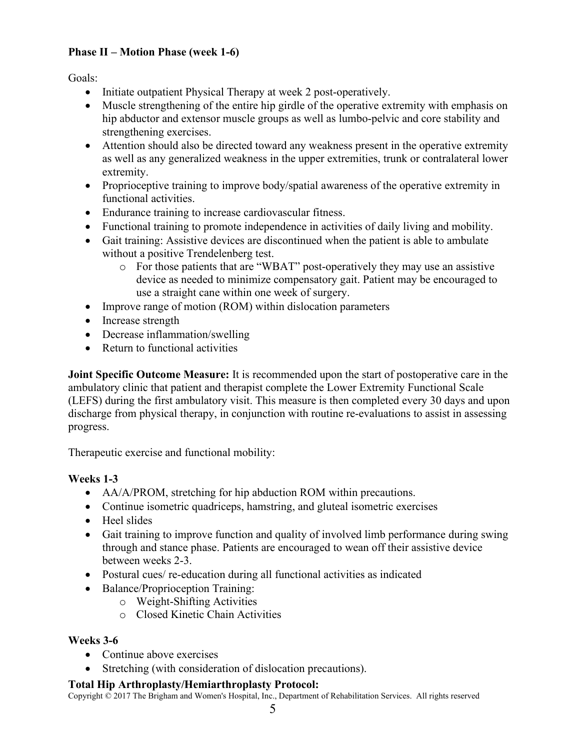# **Phase II – Motion Phase (week 1-6)**

Goals:

- Initiate outpatient Physical Therapy at week 2 post-operatively.
- Muscle strengthening of the entire hip girdle of the operative extremity with emphasis on hip abductor and extensor muscle groups as well as lumbo-pelvic and core stability and strengthening exercises.
- Attention should also be directed toward any weakness present in the operative extremity as well as any generalized weakness in the upper extremities, trunk or contralateral lower extremity.
- Proprioceptive training to improve body/spatial awareness of the operative extremity in functional activities.
- Endurance training to increase cardiovascular fitness.
- Functional training to promote independence in activities of daily living and mobility.
- Gait training: Assistive devices are discontinued when the patient is able to ambulate without a positive Trendelenberg test.
	- o For those patients that are "WBAT" post-operatively they may use an assistive device as needed to minimize compensatory gait. Patient may be encouraged to use a straight cane within one week of surgery.
- Improve range of motion (ROM) within dislocation parameters
- Increase strength
- Decrease inflammation/swelling
- Return to functional activities

**Joint Specific Outcome Measure:** It is recommended upon the start of postoperative care in the ambulatory clinic that patient and therapist complete the Lower Extremity Functional Scale (LEFS) during the first ambulatory visit. This measure is then completed every 30 days and upon discharge from physical therapy, in conjunction with routine re-evaluations to assist in assessing progress.

Therapeutic exercise and functional mobility:

# **Weeks 1-3**

- AA/A/PROM, stretching for hip abduction ROM within precautions.
- Continue isometric quadriceps, hamstring, and gluteal isometric exercises
- Heel slides
- Gait training to improve function and quality of involved limb performance during swing through and stance phase. Patients are encouraged to wean off their assistive device between weeks 2-3.
- Postural cues/ re-education during all functional activities as indicated
- Balance/Proprioception Training:
	- o Weight-Shifting Activities
	- o Closed Kinetic Chain Activities

# **Weeks 3-6**

- Continue above exercises
- Stretching (with consideration of dislocation precautions).

# **Total Hip Arthroplasty/Hemiarthroplasty Protocol:**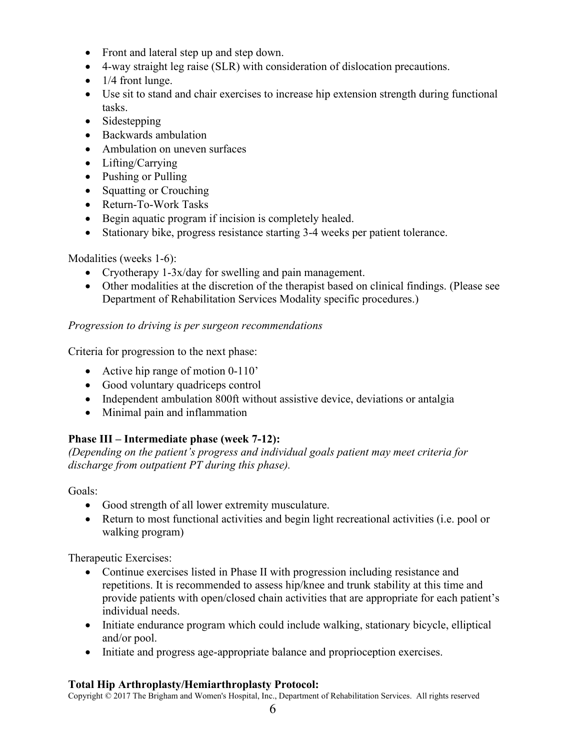- Front and lateral step up and step down.
- 4-way straight leg raise (SLR) with consideration of dislocation precautions.
- $\bullet$  1/4 front lunge.
- Use sit to stand and chair exercises to increase hip extension strength during functional tasks.
- Sidestepping
- Backwards ambulation
- Ambulation on uneven surfaces
- Lifting/Carrying
- Pushing or Pulling
- Squatting or Crouching
- Return-To-Work Tasks
- Begin aquatic program if incision is completely healed.
- Stationary bike, progress resistance starting 3-4 weeks per patient tolerance.

# Modalities (weeks 1-6):

- Cryotherapy 1-3x/day for swelling and pain management.
- Other modalities at the discretion of the therapist based on clinical findings. (Please see Department of Rehabilitation Services Modality specific procedures.)

# *Progression to driving is per surgeon recommendations*

Criteria for progression to the next phase:

- Active hip range of motion 0-110'
- Good voluntary quadriceps control
- Independent ambulation 800ft without assistive device, deviations or antalgia
- Minimal pain and inflammation

# **Phase III – Intermediate phase (week 7-12):**

*(Depending on the patient's progress and individual goals patient may meet criteria for discharge from outpatient PT during this phase).* 

Goals:

- Good strength of all lower extremity musculature.
- Return to most functional activities and begin light recreational activities (i.e. pool or walking program)

Therapeutic Exercises:

- Continue exercises listed in Phase II with progression including resistance and repetitions. It is recommended to assess hip/knee and trunk stability at this time and provide patients with open/closed chain activities that are appropriate for each patient's individual needs.
- Initiate endurance program which could include walking, stationary bicycle, elliptical and/or pool.
- Initiate and progress age-appropriate balance and proprioception exercises.

# **Total Hip Arthroplasty/Hemiarthroplasty Protocol:**